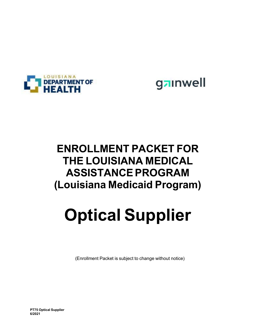



## **ENROLLMENT PACKET FOR THE LOUISIANA MEDICAL ASSISTANCE PROGRAM (Louisiana Medicaid Program)**

## **Optical Supplier**

(Enrollment Packet is subject to change without notice)